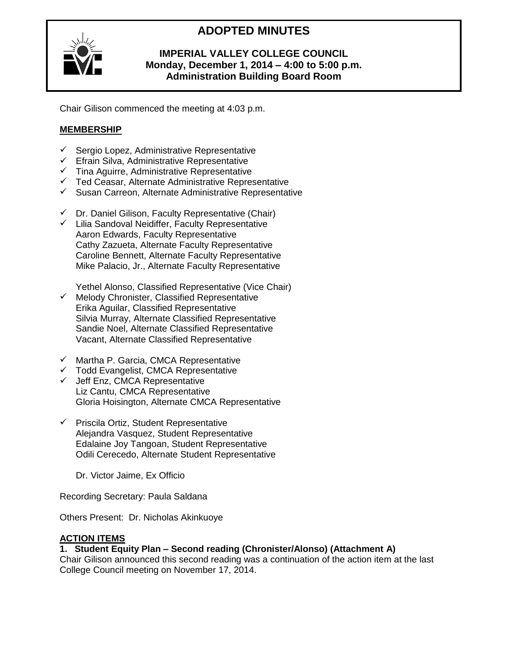# **ADOPTED MINUTES**



# **IMPERIAL VALLEY COLLEGE COUNCIL Monday, December 1, 2014 – 4:00 to 5:00 p.m. Administration Building Board Room**

Chair Gilison commenced the meeting at 4:03 p.m.

# **MEMBERSHIP**

- $\checkmark$  Sergio Lopez, Administrative Representative
- $\checkmark$  Efrain Silva, Administrative Representative
- Tina Aguirre, Administrative Representative
- $\checkmark$  Ted Ceasar, Alternate Administrative Representative
- $\checkmark$  Susan Carreon, Alternate Administrative Representative
- $\checkmark$  Dr. Daniel Gilison, Faculty Representative (Chair)
- $\checkmark$  Lilia Sandoval Neidiffer, Faculty Representative Aaron Edwards, Faculty Representative Cathy Zazueta, Alternate Faculty Representative Caroline Bennett, Alternate Faculty Representative Mike Palacio, Jr., Alternate Faculty Representative

Yethel Alonso, Classified Representative (Vice Chair)

- $\checkmark$  Melody Chronister, Classified Representative Erika Aguilar, Classified Representative Silvia Murray, Alternate Classified Representative Sandie Noel, Alternate Classified Representative Vacant, Alternate Classified Representative
- $\checkmark$  Martha P. Garcia, CMCA Representative
- $\checkmark$  Todd Evangelist, CMCA Representative
- $\checkmark$  Jeff Enz, CMCA Representative Liz Cantu, CMCA Representative Gloria Hoisington, Alternate CMCA Representative
- $\checkmark$  Priscila Ortiz, Student Representative Alejandra Vasquez, Student Representative Edalaine Joy Tangoan, Student Representative Odili Cerecedo, Alternate Student Representative

Dr. Victor Jaime, Ex Officio

Recording Secretary: Paula Saldana

Others Present: Dr. Nicholas Akinkuoye

## **ACTION ITEMS**

## **1. Student Equity Plan – Second reading (Chronister/Alonso) (Attachment A)**

Chair Gilison announced this second reading was a continuation of the action item at the last College Council meeting on November 17, 2014.